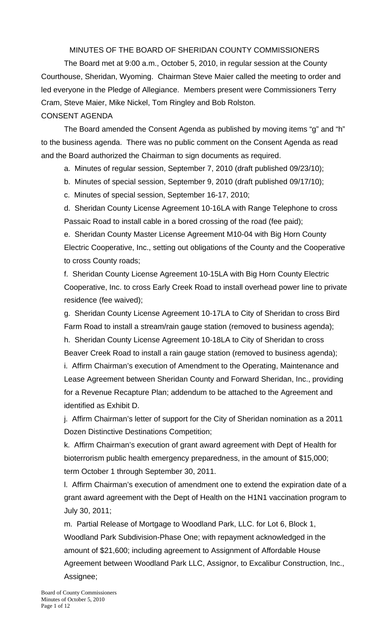# MINUTES OF THE BOARD OF SHERIDAN COUNTY COMMISSIONERS

 The Board met at 9:00 a.m., October 5, 2010, in regular session at the County Courthouse, Sheridan, Wyoming. Chairman Steve Maier called the meeting to order and led everyone in the Pledge of Allegiance. Members present were Commissioners Terry Cram, Steve Maier, Mike Nickel, Tom Ringley and Bob Rolston.

# CONSENT AGENDA

The Board amended the Consent Agenda as published by moving items "g" and "h" to the business agenda. There was no public comment on the Consent Agenda as read and the Board authorized the Chairman to sign documents as required.

a. Minutes of regular session, September 7, 2010 (draft published 09/23/10);

b. Minutes of special session, September 9, 2010 (draft published 09/17/10);

c. Minutes of special session, September 16-17, 2010;

d. Sheridan County License Agreement 10-16LA with Range Telephone to cross Passaic Road to install cable in a bored crossing of the road (fee paid);

e. Sheridan County Master License Agreement M10-04 with Big Horn County Electric Cooperative, Inc., setting out obligations of the County and the Cooperative to cross County roads;

f. Sheridan County License Agreement 10-15LA with Big Horn County Electric Cooperative, Inc. to cross Early Creek Road to install overhead power line to private residence (fee waived);

g. Sheridan County License Agreement 10-17LA to City of Sheridan to cross Bird Farm Road to install a stream/rain gauge station (removed to business agenda); h. Sheridan County License Agreement 10-18LA to City of Sheridan to cross Beaver Creek Road to install a rain gauge station (removed to business agenda); i. Affirm Chairman's execution of Amendment to the Operating, Maintenance and Lease Agreement between Sheridan County and Forward Sheridan, Inc., providing for a Revenue Recapture Plan; addendum to be attached to the Agreement and identified as Exhibit D.

j. Affirm Chairman's letter of support for the City of Sheridan nomination as a 2011 Dozen Distinctive Destinations Competition;

k. Affirm Chairman's execution of grant award agreement with Dept of Health for bioterrorism public health emergency preparedness, in the amount of \$15,000; term October 1 through September 30, 2011.

l. Affirm Chairman's execution of amendment one to extend the expiration date of a grant award agreement with the Dept of Health on the H1N1 vaccination program to July 30, 2011;

m. Partial Release of Mortgage to Woodland Park, LLC. for Lot 6, Block 1, Woodland Park Subdivision-Phase One; with repayment acknowledged in the amount of \$21,600; including agreement to Assignment of Affordable House Agreement between Woodland Park LLC, Assignor, to Excalibur Construction, Inc., Assignee;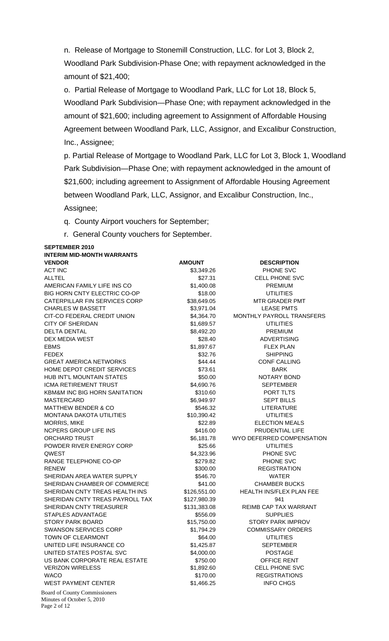n. Release of Mortgage to Stonemill Construction, LLC. for Lot 3, Block 2, Woodland Park Subdivision-Phase One; with repayment acknowledged in the amount of \$21,400;

o. Partial Release of Mortgage to Woodland Park, LLC for Lot 18, Block 5, Woodland Park Subdivision—Phase One; with repayment acknowledged in the amount of \$21,600; including agreement to Assignment of Affordable Housing Agreement between Woodland Park, LLC, Assignor, and Excalibur Construction, Inc., Assignee;

p. Partial Release of Mortgage to Woodland Park, LLC for Lot 3, Block 1, Woodland Park Subdivision—Phase One; with repayment acknowledged in the amount of \$21,600; including agreement to Assignment of Affordable Housing Agreement between Woodland Park, LLC, Assignor, and Excalibur Construction, Inc., Assignee;

q. County Airport vouchers for September;

r. General County vouchers for September.

Board of County Commissioners Minutes of October 5, 2010 **SEPTEMBER 2010 INTERIM MID-MONTH WARRANTS VENDOR CONSUMING AMOUNT AMOUNT DESCRIPTION** ACT INC **ACT INC ACT INC EXECUTE:**  $$3,349.26$  **PHONE SVC** ALLTEL \$27.31 CELL PHONE SVC AMERICAN FAMILY LIFE INS CO  $$1,400.08$  PREMIUM BIG HORN CNTY ELECTRIC CO-OP \$18.00 UTILITIES CATERPILLAR FIN SERVICES CORP \$38,649.05 MTR GRADER PMT CHARLES W BASSETT **\$3,971.04** S3.971.04 LEASE PMTS CIT-CO FEDERAL CREDIT UNION \$4,364.70 MONTHLY PAYROLL TRANSFERS CITY OF SHERIDAN  $$1,689.57$  UTILITIES DELTA DENTAL **Example 20 and 20 and 20 and 38,492.20** PREMIUM DEX MEDIA WEST **\$28.40** ADVERTISING EBMS \$1,897.67 FLEX PLAN FEDEX SHIPPING SHIPPING SALL SALL SALL SALL SHIPPING SHIPPING GREAT AMERICA NETWORKS \$44.44 CONF CALLING HOME DEPOT CREDIT SERVICES 673.61 BARK HUB INT'L MOUNTAIN STATES **\$50.00** \$50.00 NOTARY BOND ICMA RETIREMENT TRUST TERM SA,690.76 SEPTEMBER KBM&M INC BIG HORN SANITATION \$310.60 PORT TLTS MASTERCARD \$6,949.97 SEPT BILLS MATTHEW BENDER & CO **\$546.32** LITERATURE MONTANA DAKOTA UTILITIES  $$10,390.42$  UTILITIES MORRIS, MIKE **1998 ELECTION MEALS** 522.89 ELECTION MEALS NCPERS GROUP LIFE INS THE INS THE SALE OF SALE OF THE SET OF PRUDENTIAL LIFE ORCHARD TRUST TRUST THE SECONDUCT COMPUTER SECTION AND TRUST TO A SECONDUCT SECTION AND TRUST TO A SECONDUCT S POWDER RIVER ENERGY CORP \$25.66 UTILITIES Research to the set of the set of the set of the set of the set of the set of the set of the set of the set of the set of the set of the set of the set of the set of the set of the set of the set of the set of the set of t RANGE TELEPHONE CO-OP \$279.82 PHONE SVC RENEW **\$300.00** REGISTRATION SHERIDAN AREA WATER SUPPLY **8546.70** \$546.70 WATER SHERIDAN CHAMBER OF COMMERCE \$41.00 CHAMBER BUCKS SHERIDAN CNTY TREAS HEALTH INS \$126,551.00 HEALTH INS/FLEX PLAN FEE SHERIDAN CNTY TREAS PAYROLL TAX \$127,980.39 941 SHERIDAN CNTY TREASURER \$131,383.08 REIMB CAP TAX WARRANT STAPLES ADVANTAGE \$556.09 SUPPLIES STORY PARK BOARD \$15,750.00 STORY PARK IMPROV SWANSON SERVICES CORP  $$1,794.29$  COMMISSARY ORDERS TOWN OF CLEARMONT **1200 CONTROLLERY** \$64.00 UTILITIES UNITED LIFE INSURANCE CO  $$1,425.87$  SEPTEMBER UNITED STATES POSTAL SVC  $$4,000.00$  POSTAGE US BANK CORPORATE REAL ESTATE \$750.00 OFFICE RENT VERIZON WIRELESS **\$1,892.60** CELL PHONE SVC WACO **120 REGISTRATIONS** 3170.00 REGISTRATIONS WEST PAYMENT CENTER  $$1,466.25$  INFO CHGS

Page 2 of 12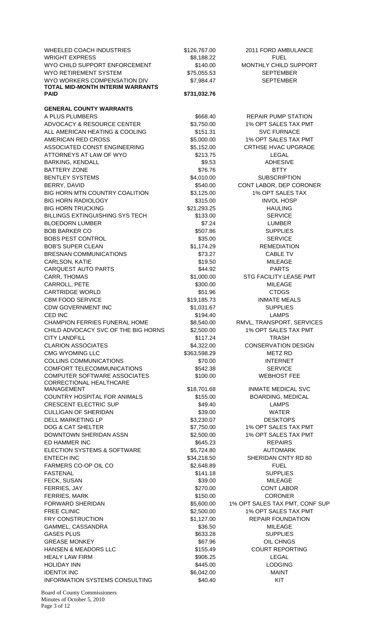WHEELED COACH INDUSTRIES \$126,767.00 2011 FORD AMBULANCE WRIGHT EXPRESS THE SECOND STATE STATES AND STATES SALES AND SECOND STATES SALES AND THE SECOND STATES AND STATES WYO CHILD SUPPORT ENFORCEMENT **\$140.00** MONTHLY CHILD SUPPORT WYO RETIREMENT SYSTEM  $$75,055.53$  SEPTEMBER WYO WORKERS COMPENSATION DIV \$7,984.47 SEPTEMBER **TOTAL MID-MONTH INTERIM WARRANTS PAID \$731,032.76 GENERAL COUNTY WARRANTS**  A PLUS PLUMBERS **\$668.40** REPAIR PUMP STATION ADVOCACY & RESOURCE CENTER \$3,750.00 1% OPT SALES TAX PMT ALL AMERICAN HEATING & COOLING \$151.31 SVC FURNACE AMERICAN RED CROSS  $$5,000.00$  1% OPT SALES TAX PMT ASSOCIATED CONST ENGINEERING **\$5,152.00** CRTHSE HVAC UPGRADE ATTORNEYS AT LAW OF WYO **\$213.75** LEGAL BARKING, KENDALL \$9.53 ADHESIVE BATTERY ZONE BTTY BELOW BOOK AND STRAIGHTY BENTLEY SYSTEMS **SALE IN THE SET OF SUBSCRIPTION** BERRY, DAVID \$540.00 CONT LABOR, DEP CORONER BIG HORN MTN COUNTRY COALITION \$3,125.00 1% OPT SALES TAX BIG HORN RADIOLOGY **1992 12:00 SSTS.00** S315.00 INVOL HOSP BIG HORN TRUCKING **\$21,293.25** HAULING BILLINGS EXTINGUISHING SYS TECH \$133.00 SERVICE BLOEDORN LUMBER \$7.24 LUMBER BOB BARKER CO \$507.86 SUPPLIES BOBS PEST CONTROL **Example 2018** SERVICE \$35.00 SERVICE BOB'S SUPER CLEAN \$1,174.29 REMEDIATION BRESNAN COMMUNICATIONS 673.27 CABLE TV CARLSON, KATIE \$19.50 MILEAGE CARQUEST AUTO PARTS **1999 120 STARTS** 344.92 PARTS CARR, THOMAS \$1,000.00 STG FACILITY LEASE PMT CARROLL, PETE **\$300.00** S300.00 MILEAGE CARTRIDGE WORLD **\$51.96** CTDGS CBM FOOD SERVICE **1990 CBM FOOD SERVICE** 6 CBM St9.185.73 INMATE MEALS CDW GOVERNMENT INC  $$1,031.67$  SUPPLIES CED INC **EXECUTE:** S194.40 LAMPS CHAMPION FERRIES FUNERAL HOME \$8,540.00 RMVL, TRANSPORT, SERVICES CHILD ADVOCACY SVC OF THE BIG HORNS \$2,500.00 1% OPT SALES TAX PMT CITY LANDFILL **the contract of the CITY LANDFILL the contract of the CITY LANDFILL** CLARION ASSOCIATES  $$4,322.00$  CONSERVATION DESIGN CMG WYOMING LLC **1.2.2006** S363,598.29 METZ RD COLLINS COMMUNICATIONS \$70.00 INTERNET COMFORT TELECOMMUNICATIONS \$542.38 SERVICE COMPUTER SOFTWARE ASSOCIATES \$100.00 WEBHOST FEE CORRECTIONAL HEALTHCARE COUNTRY HOSPITAL FOR ANIMALS \$155.00 BOARDING, MEDICAL CRESCENT ELECTRIC SUP **\$49.40** S49.40 LAMPS CULLIGAN OF SHERIDAN **\$39.00** \$39.00 WATER DELL MARKETING LP \$3,230.07 DESKTOPS DOG & CAT SHELTER  $$7,750.00$  1% OPT SALES TAX PMT DOWNTOWN SHERIDAN ASSN \$2,500.00 1% OPT SALES TAX PMT ED HAMMER INC **EXECUTE:** The Second Second Second Second Second Second Second Second Second Second Second Second Second Second Second Second Second Second Second Second Second Second Second Second Second Second Second Seco ELECTION SYSTEMS & SOFTWARE  $$5,724.80$  AUTOMARK ENTECH INC **ENTECH INC** \$34,218.50 SHERIDAN CNTY RD 80 FARMERS CO-OP OIL CO **\$2,648.89** FUEL FASTENAL \$141.18 SUPPLIES FECK, SUSAN \$39.00 MILEAGE FERRIES, JAY \$270.00 CONT LABOR FERRIES, MARK \$150.00 CORONER FORWARD SHERIDAN \$5,600.00 1% OPT SALES TAX PMT, CONF SUP FREE CLINIC **EXECUTE:** THE SECOND S2,500.00 1% OPT SALES TAX PMT FRY CONSTRUCTION 61,127.00 REPAIR FOUNDATION GAMMEL, CASSANDRA \$36.50 MILEAGE GASES PLUS \$633.28 SUPPLIES GREASE MONKEY **\$67.96** OIL CHNGS HANSEN & MEADORS LLC  $$155.49$  COURT REPORTING HEALY LAW FIRM **the contract of the COVID-S** to the S906.25 **LEGAL** HOLIDAY INN **\$445.00** CODGING IDENTIX INC \$6,042.00 MAINT INFORMATION SYSTEMS CONSULTING \$40.40 \$40.40 KIT

\$18,701.68 INMATE MEDICAL SVC

Board of County Commissioners Minutes of October 5, 2010 Page 3 of 12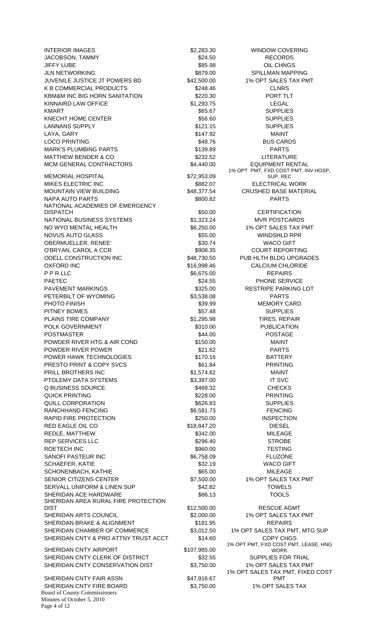Board of County Commissioners Minutes of October 5, 2010 INTERIOR IMAGES **1990 COVERING** \$2,283.30 WINDOW COVERING JACOBSON, TAMMY **1992 1993 1993 1994 1995 1996 24.50 RECORDS** JIFFY LUBE \$85.98 OIL CHNGS JLN NETWORKING **\$879.00** \$879.00 SPILLMAN MAPPING JUVENILE JUSTICE JT POWERS BD \$42,500.00 1% OPT SALES TAX PMT K B COMMERCIAL PRODUCTS 6248.46 CLNRS KBM&M INC BIG HORN SANITATION \$220.30 PORT TLT KINNAIRD LAW OFFICE **\$1,293.75** LEGAL KMART \$65.67 SUPPLIES KNECHT HOME CENTER **SUPPLIES** \$56.60 SUPPLIES LANNANS SUPPLY **121.15** SUPPLIES LAYA, GARY \$147.92 MAINT LOCO PRINTING **EXECUTE: 1999 TELECO PRINTING** BUS CARDS MARK'S PLUMBING PARTS **\$139.89** PARTS MATTHEW BENDER & CO \$232.52 LITERATURE MCM GENERAL CONTRACTORS  $$4,440.00$  EQUIPMENT RENTAL MEMORIAL HOSPITAL 672.953.09 MIKES ELECTRIC INC \$882.07 ELECTRICAL WORK MOUNTAIN VIEW BUILDING **\$48,377.54** CRUSHED BASE MATERIAL NAPA AUTO PARTS THE RESERVE SECTION AND STRUCK STATES AND RESERVE THE PARTS NATIONAL ACADEMIES OF EMERGENCY DISPATCH **850.00** CERTIFICATION NATIONAL BUSINESS SYSTEMS  $$1,323.24$  MVR POSTCARDS NO WYO MENTAL HEALTH \$6,250.00 1% OPT SALES TAX PMT NOVUS AUTO GLASS \$55.00 WINDSHLD RPR OBERMUELLER, RENEE' \$30.74 WACO GIFT O'BRYAN, CAROL A CCR **being a country of the system of the system of the SS**98.35 COURT REPORTING ODELL CONSTRUCTION INC  $$48,730.50$  PUB HLTH BLDG UPGRADES OXFORD INC **6.16,998.46** S16,998.46 CALCIUM CHLORIDE P P R LLC **86,675.00** REPAIRS PAETEC **being a contract that the service** term in the service service service term in the service of the service PAVEMENT MARKINGS **1998** 8325.00 RESTRIPE PARKING LOT PETERBILT OF WYOMING **\$3,538.08** \$3,538.08 PARTS PHOTO FINISH **BULGARY CARD \$39.99** MEMORY CARD PITNEY BOWES **SUPPLIES 357.48** SUPPLIES PLAINS TIRE COMPANY **1998 1.295.98** TIRES, REPAIR POLK GOVERNMENT **\$310.00** PUBLICATION POSTMASTER  $$44.00$  POSTMASTER POWDER RIVER HTG & AIR COND \$150.00 \$150.00 MAINT POWDER RIVER POWER **by the CONDER RIVER POWER** \$21.62 PARTS POWER HAWK TECHNOLOGIES **\$170.16 BATTERY** PRESTO PRINT & COPY SVCS \$61.84 PRINTING PRILL BROTHERS INC **81,574.62** MAINT PTOLEMY DATA SYSTEMS  $$3,397.00$  IT SVC Q BUSINESS SOURCE \$468.32 CHECKS QUICK PRINTING **\$228.00** PRINTING **\$228.00** PRINTING QUILL CORPORATION \$626.83 SUPPLIES RANCHHAND FENCING **1200 CHANGES** 36,581.73 FENCING RAPID FIRE PROTECTION 6250.00 INSPECTION RED EAGLE OIL CO \$18,847.20 DIESEL REDLE, MATTHEW **\$342.00** \$342.00 MILEAGE REP SERVICES LLC  $$296.40$  STROBE ROETECH INC **between the set of the set of the set of the set of the set of the set of the set of the set of the set of the set of the set of the set of the set of the set of the set of the set of the set of the set of the** SANOFI PASTEUR INC **\$6,758.09** SANOFI PASTEUR INC SCHAEFER, KATIE \$32.19 WACO GIFT SCHONENBACH, KATHIE \$65.00 MILEAGE SENIOR CITIZENS CENTER \$7,500.00 1% OPT SALES TAX PMT SERVALL UNIFORM & LINEN SUP \$42.82 TOWELS SHERIDAN ACE HARDWARE \$86.13 TOOLS SHERIDAN AREA RURAL FIRE PROTECTION DIST \$12,500.00 RESCUE AGMT SHERIDAN ARTS COUNCIL **1998** 1% OPT SALES TAX PMT SHERIDAN BRAKE & ALIGNMENT **\$181.95** 8181.95 SHERIDAN CHAMBER OF COMMERCE \$3,012.50 1% OPT SALES TAX PMT, MTG SUP SHERIDAN CNTY & PRO ATTNY TRUST ACCT \$14.60 COPY CHGS SHERIDAN CNTY AIRPORT \$107,985.00 SHERIDAN CNTY CLERK OF DISTRICT **\$32.55** SUPPLIES FOR TRIAL SHERIDAN CNTY CONSERVATION DIST \$3,750.00 1% OPT SALES TAX PMT SHERIDAN CNTY FAIR ASSN \$47,916.67 SHERIDAN CNTY FIRE BOARD \$3,750.00 1% OPT SALES TAX

Page 4 of 12

1% OPT PMT, FXD COST PMT, INV HOSP, SUP, REC 1% OPT PMT, FXD COST PMT, LEASE, HNG WORK 1% OPT SALES TAX PMT, FIXED COST PMT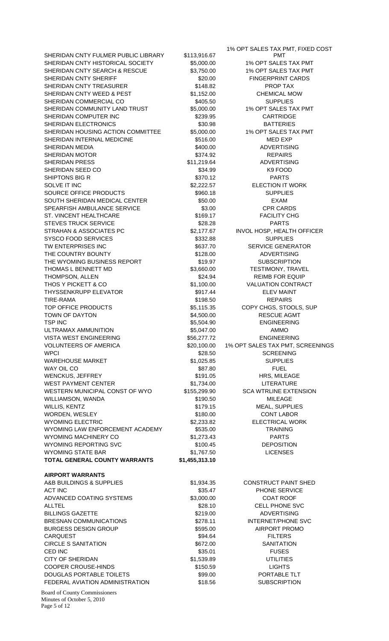SHERIDAN CNTY FULMER PUBLIC LIBRARY \$113,916.67 SHERIDAN CNTY HISTORICAL SOCIETY 65,000.00 1% OPT SALES TAX PMT SHERIDAN CNTY SEARCH & RESCUE \$3,750.00 1% OPT SALES TAX PMT SHERIDAN CNTY SHERIFF **\$20.00** FINGERPRINT CARDS SHERIDAN CNTY TREASURER \$148.82 PROP TAX SHERIDAN CNTY WEED & PEST \$1,152.00 CHEMICAL MOW SHERIDAN COMMERCIAL CO **\$405.50** SUPPLIES SHERIDAN COMMUNITY LAND TRUST \$5,000.00 1% OPT SALES TAX PMT SHERIDAN COMPUTER INC **\$239.95** CARTRIDGE SHERIDAN ELECTRONICS **\$30.98** BATTERIES SHERIDAN HOUSING ACTION COMMITTEE \$5,000.00 1% OPT SALES TAX PMT SHERIDAN INTERNAL MEDICINE \$516.00 MED EXP SHERIDAN MEDIA **\$400.00** \$400.00 ADVERTISING SHERIDAN MOTOR **\$374.92** REPAIRS SHERIDAN PRESS \$11,219.64 ADVERTISING SHERIDAN SEED CO \$34.99 K9 FOOD SHIPTONS BIG R \$370.12 PARTS SOLVE IT INC **SALUT A SALUT SEXUAL SOLVE IT INC** SOLVE IT INC SOURCE OFFICE PRODUCTS 5960.18 \$960.18 SUPPLIES SOUTH SHERIDAN MEDICAL CENTER \$50.00 SOUTH SHERIDAN MEDICAL CENTER SPEARFISH AMBULANCE SERVICE \$3.00 CPR CARDS ST. VINCENT HEALTHCARE \$169.17 FACILITY CHG STEVES TRUCK SERVICE THE SERIES AND S28.28 THE PARTS STRAHAN & ASSOCIATES PC **SECUTES A SECUL ASSOCIATES** PC **SECULE ASSOCIATES** PC **SECULE ASSOCIATES** SYSCO FOOD SERVICES **\$332.88** SUPPLIES TW ENTERPRISES INC **S637.70** SERVICE GENERATOR THE COUNTRY BOUNTY **\$128.00** \$128.00 ADVERTISING THE WYOMING BUSINESS REPORT **\$19.97** SUBSCRIPTION THOMAS L BENNETT MD  $$3,660.00$  TESTIMONY, TRAVEL THOMPSON, ALLEN **1999 CONTROL** 224.94 **REIMB FOR EQUIP** THOS Y PICKETT & CO **\$1,100.00** \$1,100.00 VALUATION CONTRACT THYSSENKRUPP ELEVATOR THE SELEMENT STATES AND STATES AND STATES AND THE SELEMENT THE SELEMENT STATES AND THE STATES AND THE SELEMENT STATES AND THE SELEMENT STATES AND STATES AND STATES AND STATES AND STATES AND STATES AND TIRE-RAMA \$198.50 REPAIRS TOP OFFICE PRODUCTS TOP S5,115.35 COPY CHGS, STOOLS, SUP TOWN OF DAYTON GALLERY AND SALL CONDUCT SHESS ON THE RESCUE AGMT TSP INC **EXECUTE:** TSP INC **EXECUTE:**  $$5,504.90$  ENGINEERING ULTRAMAX AMMUNITION \$5,047.00 AMMO VISTA WEST ENGINEERING  $$56,277.72$  ENGINEERING VOLUNTEERS OF AMERICA \$20,100.00 1% OPT SALES TAX PMT, SCREENINGS WPCI 800 SCREENING NEWSLET SALES AND SCREENING SCREENING WAREHOUSE MARKET **12000 SETS** \$1,025.85 SUPPLIES WAY OIL CONTROL CONTROL CONTROL CONTROL CONTROL CONTROL S87.80 FUEL WENCKUS, JEFFREY **191.05** S191.05 HRS, MILEAGE WEST PAYMENT CENTER **1.734.00** S1.734.00 LITERATURE WESTERN MUNICIPAL CONST OF WYO \$155,299.90 SCA WTRLINE EXTENSION WILLIAMSON, WANDA **\$190.50** \$190.50 MILEAGE WILLIS, KENTZ **19.15** MEAL, SUPPLIES WORDEN, WESLEY **\$180.00** \$180.00 CONT LABOR WYOMING ELECTRIC **\$2,233.82** ELECTRICAL WORK WYOMING LAW ENFORCEMENT ACADEMY \$535.00 TRAINING WYOMING MACHINERY CO  $$1,273.43$  PARTS WYOMING REPORTING SVC **\$100.45** DEPOSITION WYOMING STATE BAR  $$1,767.50$  LICENSES **TOTAL GENERAL COUNTY WARRANTS \$1,455,313.10 AIRPORT WARRANTS**  A&B BUILDINGS & SUPPLIES  $$1,934.35$  CONSTRUCT PAINT SHED ACT INC **ACT INC ACT INC EXAMPLE SERVICE 1 ACT INC 5 S 35.47 PHONE SERVICE** ADVANCED COATING SYSTEMS \$3,000.00 \$3,000.00 COAT ROOF ALLTEL \$28.10 CELL PHONE SVC BILLINGS GAZETTE \$219.00 \$219.00 ADVERTISING BRESNAN COMMUNICATIONS 6278.11 INTERNET/PHONE SVC BURGESS DESIGN GROUP **\$595.00** AIRPORT PROMO  $\text{CARQUEST}$  FILTERS CIRCLE S SANITATION **\$672.00** SANITATION  $\text{CED INC}$  FUSES CITY OF SHERIDAN \$1,539.89 UTILITIES COOPER CROUSE-HINDS \$150.59 LIGHTS DOUGLAS PORTABLE TOILETS  $$99.00$  PORTABLE TLT FEDERAL AVIATION ADMINISTRATION \$18.56 SUBSCRIPTION

PMT

1% OPT SALES TAX PMT, FIXED COST

Board of County Commissioners Minutes of October 5, 2010 Page 5 of 12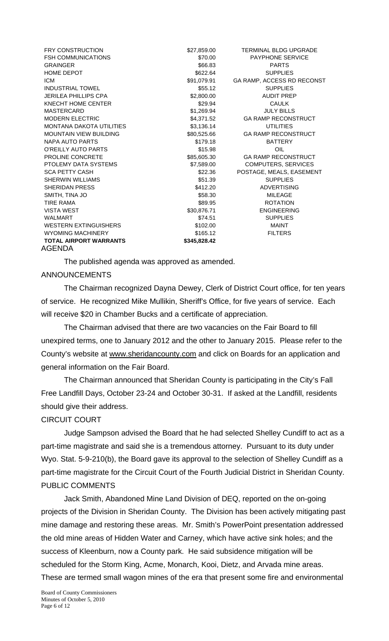| <b>FRY CONSTRUCTION</b>         | \$27,859.00  | <b>TERMINAL BLDG UPGRADE</b> |
|---------------------------------|--------------|------------------------------|
| <b>FSH COMMUNICATIONS</b>       | \$70.00      | <b>PAYPHONE SERVICE</b>      |
| <b>GRAINGER</b>                 | \$66.83      | <b>PARTS</b>                 |
| <b>HOME DEPOT</b>               | \$622.64     | <b>SUPPLIES</b>              |
| <b>ICM</b>                      | \$91,079.91  | GA RAMP, ACCESS RD RECONST   |
| <b>INDUSTRIAL TOWEL</b>         | \$55.12      | <b>SUPPLIES</b>              |
| <b>JERILEA PHILLIPS CPA</b>     | \$2,800.00   | <b>AUDIT PREP</b>            |
| KNECHT HOME CENTER              | \$29.94      | <b>CAULK</b>                 |
| <b>MASTERCARD</b>               | \$1,269.94   | <b>JULY BILLS</b>            |
| <b>MODERN ELECTRIC</b>          | \$4,371.52   | <b>GA RAMP RECONSTRUCT</b>   |
| <b>MONTANA DAKOTA UTILITIES</b> | \$3,136.14   | <b>UTILITIES</b>             |
| <b>MOUNTAIN VIEW BUILDING</b>   | \$80,525.66  | <b>GA RAMP RECONSTRUCT</b>   |
| NAPA AUTO PARTS                 | \$179.18     | <b>BATTERY</b>               |
| O'REILLY AUTO PARTS             | \$15.98      | OIL                          |
| PROLINE CONCRETE                | \$85,605.30  | <b>GA RAMP RECONSTRUCT</b>   |
| PTOLEMY DATA SYSTEMS            | \$7,589.00   | <b>COMPUTERS, SERVICES</b>   |
| <b>SCA PETTY CASH</b>           | \$22.36      | POSTAGE, MEALS, EASEMENT     |
| <b>SHERWIN WILLIAMS</b>         | \$51.39      | <b>SUPPLIES</b>              |
| SHERIDAN PRESS                  | \$412.20     | <b>ADVERTISING</b>           |
| SMITH, TINA JO                  | \$58.30      | <b>MILEAGE</b>               |
| TIRE RAMA                       | \$89.95      | <b>ROTATION</b>              |
| <b>VISTA WEST</b>               | \$30,876.71  | <b>ENGINEERING</b>           |
| <b>WALMART</b>                  | \$74.51      | <b>SUPPLIES</b>              |
| <b>WESTERN EXTINGUISHERS</b>    | \$102.00     | <b>MAINT</b>                 |
| <b>WYOMING MACHINERY</b>        | \$165.12     | <b>FILTERS</b>               |
| <b>TOTAL AIRPORT WARRANTS</b>   | \$345,828.42 |                              |
| AGENDA                          |              |                              |

The published agenda was approved as amended.

### ANNOUNCEMENTS

 The Chairman recognized Dayna Dewey, Clerk of District Court office, for ten years of service. He recognized Mike Mullikin, Sheriff's Office, for five years of service. Each will receive \$20 in Chamber Bucks and a certificate of appreciation.

The Chairman advised that there are two vacancies on the Fair Board to fill unexpired terms, one to January 2012 and the other to January 2015. Please refer to the County's website at www.sheridancounty.com and click on Boards for an application and general information on the Fair Board.

 The Chairman announced that Sheridan County is participating in the City's Fall Free Landfill Days, October 23-24 and October 30-31. If asked at the Landfill, residents should give their address.

## CIRCUIT COURT

 Judge Sampson advised the Board that he had selected Shelley Cundiff to act as a part-time magistrate and said she is a tremendous attorney. Pursuant to its duty under Wyo. Stat. 5-9-210(b), the Board gave its approval to the selection of Shelley Cundiff as a part-time magistrate for the Circuit Court of the Fourth Judicial District in Sheridan County. PUBLIC COMMENTS

 Jack Smith, Abandoned Mine Land Division of DEQ, reported on the on-going projects of the Division in Sheridan County. The Division has been actively mitigating past mine damage and restoring these areas. Mr. Smith's PowerPoint presentation addressed the old mine areas of Hidden Water and Carney, which have active sink holes; and the success of Kleenburn, now a County park. He said subsidence mitigation will be scheduled for the Storm King, Acme, Monarch, Kooi, Dietz, and Arvada mine areas. These are termed small wagon mines of the era that present some fire and environmental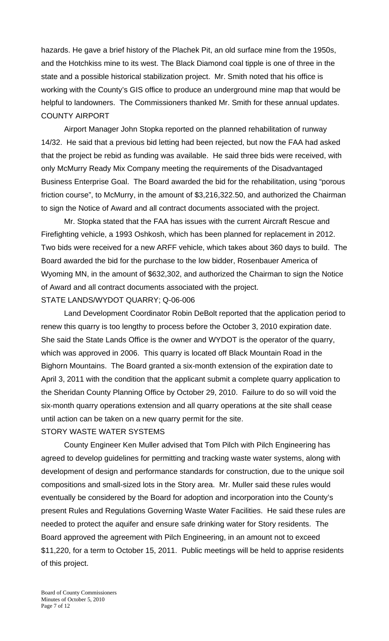hazards. He gave a brief history of the Plachek Pit, an old surface mine from the 1950s, and the Hotchkiss mine to its west. The Black Diamond coal tipple is one of three in the state and a possible historical stabilization project. Mr. Smith noted that his office is working with the County's GIS office to produce an underground mine map that would be helpful to landowners. The Commissioners thanked Mr. Smith for these annual updates. COUNTY AIRPORT

 Airport Manager John Stopka reported on the planned rehabilitation of runway 14/32. He said that a previous bid letting had been rejected, but now the FAA had asked that the project be rebid as funding was available. He said three bids were received, with only McMurry Ready Mix Company meeting the requirements of the Disadvantaged Business Enterprise Goal. The Board awarded the bid for the rehabilitation, using "porous friction course", to McMurry, in the amount of \$3,216,322.50, and authorized the Chairman to sign the Notice of Award and all contract documents associated with the project.

 Mr. Stopka stated that the FAA has issues with the current Aircraft Rescue and Firefighting vehicle, a 1993 Oshkosh, which has been planned for replacement in 2012. Two bids were received for a new ARFF vehicle, which takes about 360 days to build. The Board awarded the bid for the purchase to the low bidder, Rosenbauer America of Wyoming MN, in the amount of \$632,302, and authorized the Chairman to sign the Notice of Award and all contract documents associated with the project.

## STATE LANDS/WYDOT QUARRY; Q-06-006

 Land Development Coordinator Robin DeBolt reported that the application period to renew this quarry is too lengthy to process before the October 3, 2010 expiration date. She said the State Lands Office is the owner and WYDOT is the operator of the quarry, which was approved in 2006. This quarry is located off Black Mountain Road in the Bighorn Mountains. The Board granted a six-month extension of the expiration date to April 3, 2011 with the condition that the applicant submit a complete quarry application to the Sheridan County Planning Office by October 29, 2010. Failure to do so will void the six-month quarry operations extension and all quarry operations at the site shall cease until action can be taken on a new quarry permit for the site. STORY WASTE WATER SYSTEMS

 County Engineer Ken Muller advised that Tom Pilch with Pilch Engineering has agreed to develop guidelines for permitting and tracking waste water systems, along with development of design and performance standards for construction, due to the unique soil compositions and small-sized lots in the Story area. Mr. Muller said these rules would eventually be considered by the Board for adoption and incorporation into the County's present Rules and Regulations Governing Waste Water Facilities. He said these rules are needed to protect the aquifer and ensure safe drinking water for Story residents. The Board approved the agreement with Pilch Engineering, in an amount not to exceed \$11,220, for a term to October 15, 2011. Public meetings will be held to apprise residents of this project.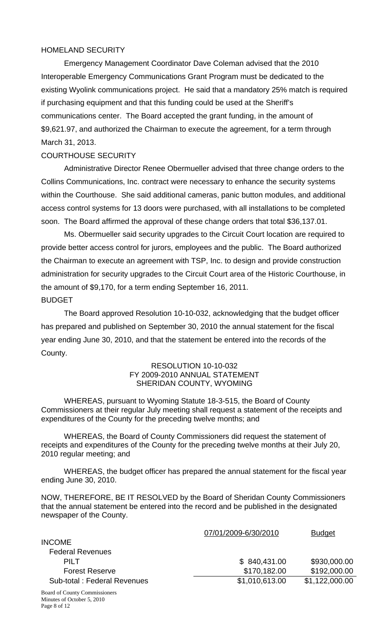## HOMELAND SECURITY

 Emergency Management Coordinator Dave Coleman advised that the 2010 Interoperable Emergency Communications Grant Program must be dedicated to the existing Wyolink communications project. He said that a mandatory 25% match is required if purchasing equipment and that this funding could be used at the Sheriff's communications center. The Board accepted the grant funding, in the amount of \$9,621.97, and authorized the Chairman to execute the agreement, for a term through March 31, 2013.

## COURTHOUSE SECURITY

 Administrative Director Renee Obermueller advised that three change orders to the Collins Communications, Inc. contract were necessary to enhance the security systems within the Courthouse. She said additional cameras, panic button modules, and additional access control systems for 13 doors were purchased, with all installations to be completed soon. The Board affirmed the approval of these change orders that total \$36,137.01.

 Ms. Obermueller said security upgrades to the Circuit Court location are required to provide better access control for jurors, employees and the public. The Board authorized the Chairman to execute an agreement with TSP, Inc. to design and provide construction administration for security upgrades to the Circuit Court area of the Historic Courthouse, in the amount of \$9,170, for a term ending September 16, 2011. BUDGET

 The Board approved Resolution 10-10-032, acknowledging that the budget officer has prepared and published on September 30, 2010 the annual statement for the fiscal year ending June 30, 2010, and that the statement be entered into the records of the County.

#### RESOLUTION 10-10-032 FY 2009-2010 ANNUAL STATEMENT SHERIDAN COUNTY, WYOMING

WHEREAS, pursuant to Wyoming Statute 18-3-515, the Board of County Commissioners at their regular July meeting shall request a statement of the receipts and expenditures of the County for the preceding twelve months; and

WHEREAS, the Board of County Commissioners did request the statement of receipts and expenditures of the County for the preceding twelve months at their July 20, 2010 regular meeting; and

WHEREAS, the budget officer has prepared the annual statement for the fiscal year ending June 30, 2010.

NOW, THEREFORE, BE IT RESOLVED by the Board of Sheridan County Commissioners that the annual statement be entered into the record and be published in the designated newspaper of the County.

|                             | 07/01/2009-6/30/2010 | <b>Budget</b>  |
|-----------------------------|----------------------|----------------|
| <b>INCOME</b>               |                      |                |
| <b>Federal Revenues</b>     |                      |                |
| PILT                        | \$840,431.00         | \$930,000.00   |
| <b>Forest Reserve</b>       | \$170,182.00         | \$192,000.00   |
| Sub-total: Federal Revenues | \$1,010,613.00       | \$1,122,000.00 |
|                             |                      |                |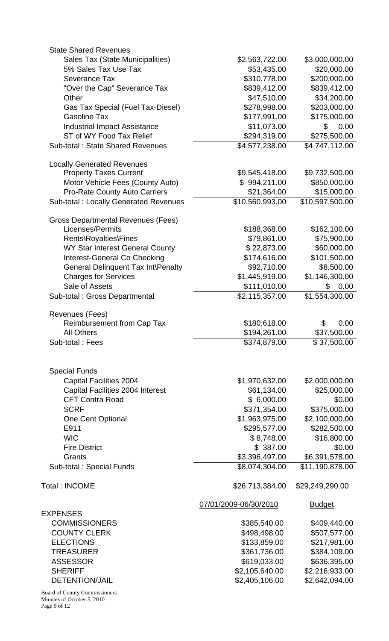| <b>State Shared Revenues</b>                 |                       |                 |
|----------------------------------------------|-----------------------|-----------------|
| Sales Tax (State Municipalities)             | \$2,563,722.00        | \$3,000,000.00  |
| 5% Sales Tax Use Tax                         | \$53,435.00           | \$20,000.00     |
| <b>Severance Tax</b>                         | \$310,778.00          | \$200,000.00    |
| "Over the Cap" Severance Tax                 | \$839,412.00          | \$839,412.00    |
| Other                                        | \$47,510.00           | \$34,200.00     |
|                                              |                       |                 |
| Gas Tax Special (Fuel Tax-Diesel)            | \$278,998.00          | \$203,000.00    |
| <b>Gasoline Tax</b>                          | \$177,991.00          | \$175,000.00    |
| <b>Industrial Impact Assistance</b>          | \$11,073.00           | \$<br>0.00      |
| ST of WY Food Tax Relief                     | \$294,319.00          | \$275,500.00    |
| <b>Sub-total: State Shared Revenues</b>      | \$4,577,238.00        | \$4,747,112.00  |
| <b>Locally Generated Revenues</b>            |                       |                 |
| <b>Property Taxes Current</b>                | \$9,545,418.00        | \$9,732,500.00  |
| Motor Vehicle Fees (County Auto)             | \$994,211.00          | \$850,000.00    |
| <b>Pro-Rate County Auto Carriers</b>         | \$21,364.00           | \$15,000.00     |
| <b>Sub-total: Locally Generated Revenues</b> | \$10,560,993.00       | \$10,597,500.00 |
| <b>Gross Departmental Revenues (Fees)</b>    |                       |                 |
| Licenses/Permits                             | \$188,368.00          | \$162,100.00    |
|                                              |                       |                 |
| Rents\Royalties\Fines                        | \$79,861.00           | \$75,900.00     |
| WY Star Interest General County              | \$22,873.00           | \$60,000.00     |
| Interest-General Co Checking                 | \$174,616.00          | \$101,500.00    |
| General Delinquent Tax Int\Penalty           | \$92,710.00           | \$8,500.00      |
| <b>Charges for Services</b>                  | \$1,445,919.00        | \$1,146,300.00  |
| Sale of Assets                               | \$111,010.00          | 0.00<br>\$      |
| Sub-total : Gross Departmental               | \$2,115,357.00        | \$1,554,300.00  |
| Revenues (Fees)                              |                       |                 |
| <b>Reimbursement from Cap Tax</b>            | \$180,618.00          | \$<br>0.00      |
|                                              |                       |                 |
| <b>All Others</b>                            | \$194,261.00          | \$37,500.00     |
| Sub-total: Fees                              | \$374,879.00          | \$37,500.00     |
|                                              |                       |                 |
| <b>Special Funds</b>                         |                       |                 |
| <b>Capital Facilities 2004</b>               | \$1,970,632.00        | \$2,000,000.00  |
| Capital Facilities 2004 Interest             | \$61,134.00           | \$25,000.00     |
| <b>CFT Contra Road</b>                       | \$6,000.00            | \$0.00          |
| <b>SCRF</b>                                  | \$371,354.00          | \$375,000.00    |
| One Cent Optional                            | \$1,963,975.00        | \$2,100,000.00  |
| E911                                         | \$295,577.00          | \$282,500.00    |
|                                              |                       |                 |
| <b>WIC</b>                                   | \$8,748.00            | \$16,800.00     |
| <b>Fire District</b>                         | \$387.00              | \$0.00          |
| Grants                                       | \$3,396,497.00        | \$6,391,578.00  |
| Sub-total: Special Funds                     | \$8,074,304.00        | \$11,190,878.00 |
| <b>Total: INCOME</b>                         | \$26,713,384.00       | \$29,249,290.00 |
|                                              | 07/01/2009-06/30/2010 |                 |
| <b>EXPENSES</b>                              |                       | <b>Budget</b>   |
|                                              |                       |                 |
| <b>COMMISSIONERS</b>                         | \$385,540.00          | \$409,440.00    |
| <b>COUNTY CLERK</b>                          | \$498,498.00          | \$507,577.00    |
| <b>ELECTIONS</b>                             | \$133,859.00          | \$217,981.00    |
| <b>TREASURER</b>                             | \$361,736.00          | \$384,109.00    |
| <b>ASSESSOR</b>                              | \$619,033.00          | \$636,395.00    |
| <b>SHERIFF</b>                               | \$2,105,640.00        | \$2,216,933.00  |
| <b>DETENTION/JAIL</b>                        | \$2,405,106.00        | \$2,642,094.00  |
|                                              |                       |                 |
| Board of County Commissioners                |                       |                 |

Minutes of October 5, 2010 Page 9 of 12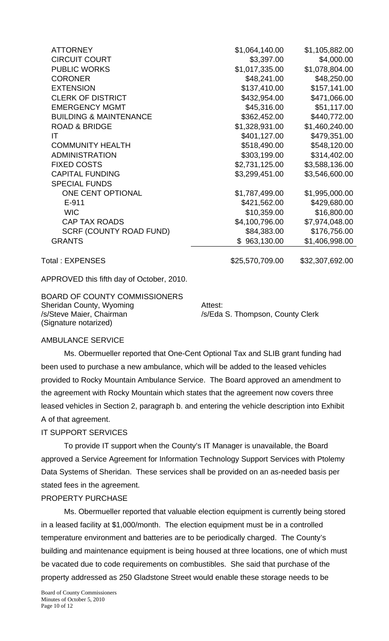| <b>ATTORNEY</b>                   | \$1,064,140.00  | \$1,105,882.00  |
|-----------------------------------|-----------------|-----------------|
| <b>CIRCUIT COURT</b>              | \$3,397.00      | \$4,000.00      |
| <b>PUBLIC WORKS</b>               | \$1,017,335.00  | \$1,078,804.00  |
| <b>CORONER</b>                    | \$48,241.00     | \$48,250.00     |
| <b>EXTENSION</b>                  | \$137,410.00    | \$157,141.00    |
| <b>CLERK OF DISTRICT</b>          | \$432,954.00    | \$471,066.00    |
| <b>EMERGENCY MGMT</b>             | \$45,316.00     | \$51,117.00     |
| <b>BUILDING &amp; MAINTENANCE</b> | \$362,452.00    | \$440,772.00    |
| <b>ROAD &amp; BRIDGE</b>          | \$1,328,931.00  | \$1,460,240.00  |
| IT                                | \$401,127.00    | \$479,351.00    |
| <b>COMMUNITY HEALTH</b>           | \$518,490.00    | \$548,120.00    |
| <b>ADMINISTRATION</b>             | \$303,199.00    | \$314,402.00    |
| <b>FIXED COSTS</b>                | \$2,731,125.00  | \$3,588,136.00  |
| <b>CAPITAL FUNDING</b>            | \$3,299,451.00  | \$3,546,600.00  |
| <b>SPECIAL FUNDS</b>              |                 |                 |
| ONE CENT OPTIONAL                 | \$1,787,499.00  | \$1,995,000.00  |
| $E-911$                           | \$421,562.00    | \$429,680.00    |
| <b>WIC</b>                        | \$10,359.00     | \$16,800.00     |
| <b>CAP TAX ROADS</b>              | \$4,100,796.00  | \$7,974,048.00  |
| <b>SCRF (COUNTY ROAD FUND)</b>    | \$84,383.00     | \$176,756.00    |
| <b>GRANTS</b>                     | \$963,130.00    | \$1,406,998.00  |
| Total: EXPENSES                   | \$25,570,709.00 | \$32,307,692.00 |

APPROVED this fifth day of October, 2010.

BOARD OF COUNTY COMMISSIONERS Sheridan County, Wyoming **Attest:** /s/Steve Maier, Chairman /s/Eda S. Thompson, County Clerk (Signature notarized)

## AMBULANCE SERVICE

 Ms. Obermueller reported that One-Cent Optional Tax and SLIB grant funding had been used to purchase a new ambulance, which will be added to the leased vehicles provided to Rocky Mountain Ambulance Service. The Board approved an amendment to the agreement with Rocky Mountain which states that the agreement now covers three leased vehicles in Section 2, paragraph b. and entering the vehicle description into Exhibit A of that agreement.

### IT SUPPORT SERVICES

 To provide IT support when the County's IT Manager is unavailable, the Board approved a Service Agreement for Information Technology Support Services with Ptolemy Data Systems of Sheridan. These services shall be provided on an as-needed basis per stated fees in the agreement.

## PROPERTY PURCHASE

 Ms. Obermueller reported that valuable election equipment is currently being stored in a leased facility at \$1,000/month. The election equipment must be in a controlled temperature environment and batteries are to be periodically charged. The County's building and maintenance equipment is being housed at three locations, one of which must be vacated due to code requirements on combustibles. She said that purchase of the property addressed as 250 Gladstone Street would enable these storage needs to be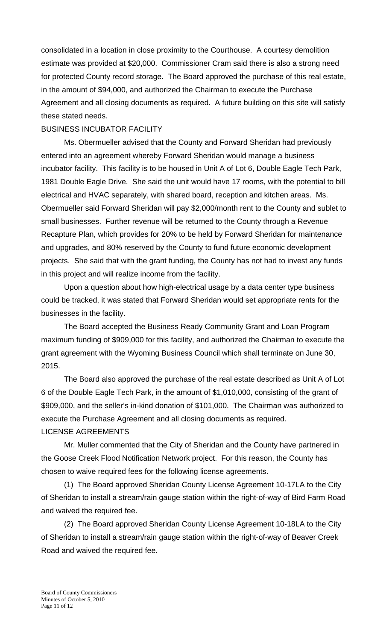consolidated in a location in close proximity to the Courthouse. A courtesy demolition estimate was provided at \$20,000. Commissioner Cram said there is also a strong need for protected County record storage. The Board approved the purchase of this real estate, in the amount of \$94,000, and authorized the Chairman to execute the Purchase Agreement and all closing documents as required. A future building on this site will satisfy these stated needs.

# BUSINESS INCUBATOR FACILITY

 Ms. Obermueller advised that the County and Forward Sheridan had previously entered into an agreement whereby Forward Sheridan would manage a business incubator facility. This facility is to be housed in Unit A of Lot 6, Double Eagle Tech Park, 1981 Double Eagle Drive. She said the unit would have 17 rooms, with the potential to bill electrical and HVAC separately, with shared board, reception and kitchen areas. Ms. Obermueller said Forward Sheridan will pay \$2,000/month rent to the County and sublet to small businesses. Further revenue will be returned to the County through a Revenue Recapture Plan, which provides for 20% to be held by Forward Sheridan for maintenance and upgrades, and 80% reserved by the County to fund future economic development projects. She said that with the grant funding, the County has not had to invest any funds in this project and will realize income from the facility.

 Upon a question about how high-electrical usage by a data center type business could be tracked, it was stated that Forward Sheridan would set appropriate rents for the businesses in the facility.

 The Board accepted the Business Ready Community Grant and Loan Program maximum funding of \$909,000 for this facility, and authorized the Chairman to execute the grant agreement with the Wyoming Business Council which shall terminate on June 30, 2015.

 The Board also approved the purchase of the real estate described as Unit A of Lot 6 of the Double Eagle Tech Park, in the amount of \$1,010,000, consisting of the grant of \$909,000, and the seller's in-kind donation of \$101,000. The Chairman was authorized to execute the Purchase Agreement and all closing documents as required. LICENSE AGREEMENTS

 Mr. Muller commented that the City of Sheridan and the County have partnered in the Goose Creek Flood Notification Network project. For this reason, the County has chosen to waive required fees for the following license agreements.

 (1) The Board approved Sheridan County License Agreement 10-17LA to the City of Sheridan to install a stream/rain gauge station within the right-of-way of Bird Farm Road and waived the required fee.

 (2) The Board approved Sheridan County License Agreement 10-18LA to the City of Sheridan to install a stream/rain gauge station within the right-of-way of Beaver Creek Road and waived the required fee.